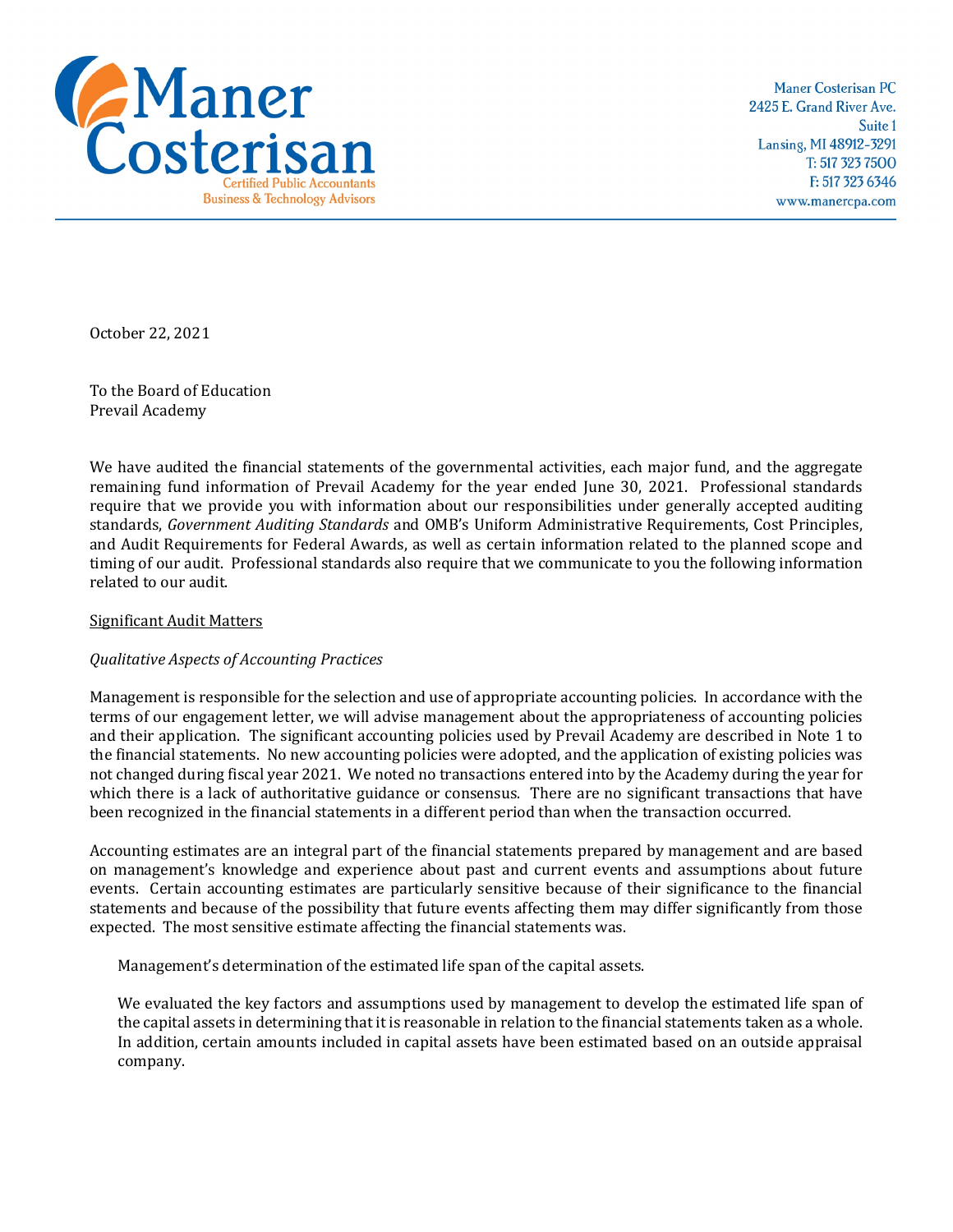

Maner Costerisan PC 2425 E. Grand River Ave. Suite 1 Lansing, MI 48912-3291 T: 517 323 7500 F: 517 323 6346 www.manercpa.com

October 22, 2021

To the Board of Education Prevail Academy

We have audited the financial statements of the governmental activities, each major fund, and the aggregate remaining fund information of Prevail Academy for the year ended June 30, 2021. Professional standards require that we provide you with information about our responsibilities under generally accepted auditing standards, *Government Auditing Standards* and OMB's Uniform Administrative Requirements, Cost Principles, and Audit Requirements for Federal Awards, as well as certain information related to the planned scope and timing of our audit. Professional standards also require that we communicate to you the following information related to our audit.

## Significant Audit Matters

## *Qualitative Aspects of Accounting Practices*

Management is responsible for the selection and use of appropriate accounting policies. In accordance with the terms of our engagement letter, we will advise management about the appropriateness of accounting policies and their application. The significant accounting policies used by Prevail Academy are described in Note 1 to the financial statements. No new accounting policies were adopted, and the application of existing policies was not changed during fiscal year 2021. We noted no transactions entered into by the Academy during the year for which there is a lack of authoritative guidance or consensus. There are no significant transactions that have been recognized in the financial statements in a different period than when the transaction occurred.

Accounting estimates are an integral part of the financial statements prepared by management and are based on management's knowledge and experience about past and current events and assumptions about future events. Certain accounting estimates are particularly sensitive because of their significance to the financial statements and because of the possibility that future events affecting them may differ significantly from those expected. The most sensitive estimate affecting the financial statements was.

Management's determination of the estimated life span of the capital assets.

We evaluated the key factors and assumptions used by management to develop the estimated life span of the capital assets in determining that it is reasonable in relation to the financial statements taken as a whole. In addition, certain amounts included in capital assets have been estimated based on an outside appraisal company.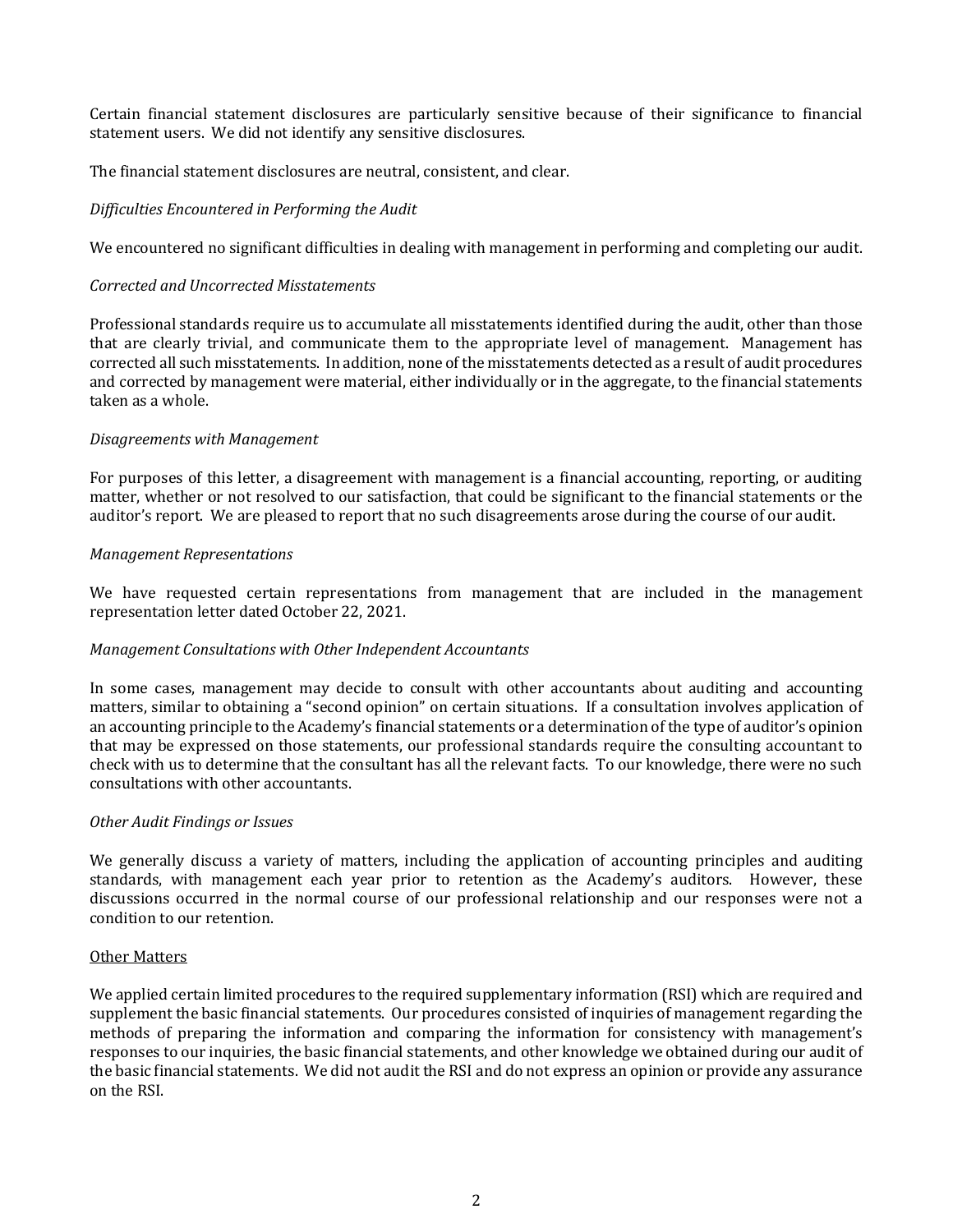Certain financial statement disclosures are particularly sensitive because of their significance to financial statement users. We did not identify any sensitive disclosures.

The financial statement disclosures are neutral, consistent, and clear.

# *Difficulties Encountered in Performing the Audit*

We encountered no significant difficulties in dealing with management in performing and completing our audit.

## *Corrected and Uncorrected Misstatements*

Professional standards require us to accumulate all misstatements identified during the audit, other than those that are clearly trivial, and communicate them to the appropriate level of management. Management has corrected all such misstatements. In addition, none of the misstatements detected as a result of audit procedures and corrected by management were material, either individually or in the aggregate, to the financial statements taken as a whole.

## *Disagreements with Management*

For purposes of this letter, a disagreement with management is a financial accounting, reporting, or auditing matter, whether or not resolved to our satisfaction, that could be significant to the financial statements or the auditor's report. We are pleased to report that no such disagreements arose during the course of our audit.

## *Management Representations*

We have requested certain representations from management that are included in the management representation letter dated October 22, 2021.

## *Management Consultations with Other Independent Accountants*

In some cases, management may decide to consult with other accountants about auditing and accounting matters, similar to obtaining a "second opinion" on certain situations. If a consultation involves application of an accounting principle to the Academy's financial statements or a determination of the type of auditor's opinion that may be expressed on those statements, our professional standards require the consulting accountant to check with us to determine that the consultant has all the relevant facts. To our knowledge, there were no such consultations with other accountants.

## *Other Audit Findings or Issues*

We generally discuss a variety of matters, including the application of accounting principles and auditing standards, with management each year prior to retention as the Academy's auditors. However, these discussions occurred in the normal course of our professional relationship and our responses were not a condition to our retention.

## Other Matters

We applied certain limited procedures to the required supplementary information (RSI) which are required and supplement the basic financial statements. Our procedures consisted of inquiries of management regarding the methods of preparing the information and comparing the information for consistency with management's responses to our inquiries, the basic financial statements, and other knowledge we obtained during our audit of the basic financial statements. We did not audit the RSI and do not express an opinion or provide any assurance on the RSI.